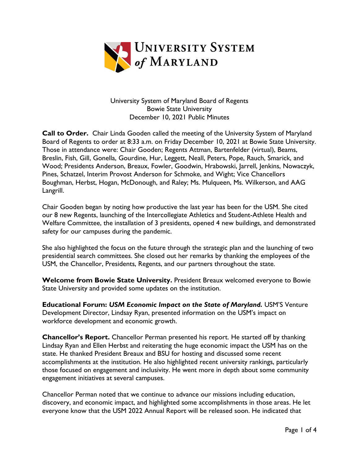

University System of Maryland Board of Regents Bowie State University December 10, 2021 Public Minutes

**Call to Order.** Chair Linda Gooden called the meeting of the University System of Maryland Board of Regents to order at 8:33 a.m. on Friday December 10, 2021 at Bowie State University. Those in attendance were: Chair Gooden; Regents Attman, Bartenfelder (virtual), Beams, Breslin, Fish, Gill, Gonella, Gourdine, Hur, Leggett, Neall, Peters, Pope, Rauch, Smarick, and Wood; Presidents Anderson, Breaux, Fowler, Goodwin, Hrabowski, Jarrell, Jenkins, Nowaczyk, Pines, Schatzel, Interim Provost Anderson for Schmoke, and Wight; Vice Chancellors Boughman, Herbst, Hogan, McDonough, and Raley; Ms. Mulqueen, Ms. Wilkerson, and AAG Langrill.

Chair Gooden began by noting how productive the last year has been for the USM. She cited our 8 new Regents, launching of the Intercollegiate Athletics and Student-Athlete Health and Welfare Committee, the installation of 3 presidents, opened 4 new buildings, and demonstrated safety for our campuses during the pandemic.

She also highlighted the focus on the future through the strategic plan and the launching of two presidential search committees. She closed out her remarks by thanking the employees of the USM, the Chancellor, Presidents, Regents, and our partners throughout the state.

**Welcome from Bowie State University.** President Breaux welcomed everyone to Bowie State University and provided some updates on the institution.

**Educational Forum:** *USM Economic Impact on the State of Maryland.* USM'S Venture Development Director, Lindsay Ryan, presented information on the USM's impact on workforce development and economic growth.

**Chancellor's Report.** Chancellor Perman presented his report. He started off by thanking Lindsay Ryan and Ellen Herbst and reiterating the huge economic impact the USM has on the state. He thanked President Breaux and BSU for hosting and discussed some recent accomplishments at the institution. He also highlighted recent university rankings, particularly those focused on engagement and inclusivity. He went more in depth about some community engagement initiatives at several campuses.

Chancellor Perman noted that we continue to advance our missions including education, discovery, and economic impact, and highlighted some accomplishments in those areas. He let everyone know that the USM 2022 Annual Report will be released soon. He indicated that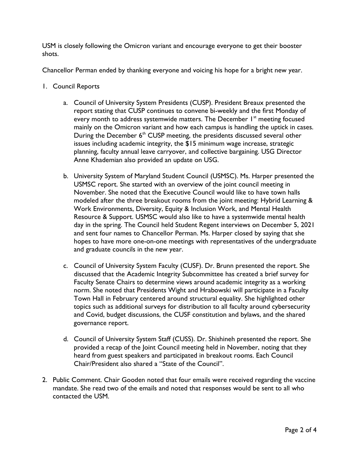USM is closely following the Omicron variant and encourage everyone to get their booster shots.

Chancellor Perman ended by thanking everyone and voicing his hope for a bright new year.

- 1. Council Reports
	- a. Council of University System Presidents (CUSP). President Breaux presented the report stating that CUSP continues to convene bi-weekly and the first Monday of every month to address systemwide matters. The December  $1<sup>st</sup>$  meeting focused mainly on the Omicron variant and how each campus is handling the uptick in cases. During the December  $6<sup>th</sup>$  CUSP meeting, the presidents discussed several other issues including academic integrity, the \$15 minimum wage increase, strategic planning, faculty annual leave carryover, and collective bargaining. USG Director Anne Khademian also provided an update on USG.
	- b. University System of Maryland Student Council (USMSC). Ms. Harper presented the USMSC report. She started with an overview of the joint council meeting in November. She noted that the Executive Council would like to have town halls modeled after the three breakout rooms from the joint meeting: Hybrid Learning & Work Environments, Diversity, Equity & Inclusion Work, and Mental Health Resource & Support. USMSC would also like to have a systemwide mental health day in the spring. The Council held Student Regent interviews on December 5, 2021 and sent four names to Chancellor Perman. Ms. Harper closed by saying that she hopes to have more one-on-one meetings with representatives of the undergraduate and graduate councils in the new year.
	- c. Council of University System Faculty (CUSF). Dr. Brunn presented the report. She discussed that the Academic Integrity Subcommittee has created a brief survey for Faculty Senate Chairs to determine views around academic integrity as a working norm. She noted that Presidents Wight and Hrabowski will participate in a Faculty Town Hall in February centered around structural equality. She highlighted other topics such as additional surveys for distribution to all faculty around cybersecurity and Covid, budget discussions, the CUSF constitution and bylaws, and the shared governance report.
	- d. Council of University System Staff (CUSS). Dr. Shishineh presented the report. She provided a recap of the Joint Council meeting held in November, noting that they heard from guest speakers and participated in breakout rooms. Each Council Chair/President also shared a "State of the Council".
- 2. Public Comment. Chair Gooden noted that four emails were received regarding the vaccine mandate. She read two of the emails and noted that responses would be sent to all who contacted the USM.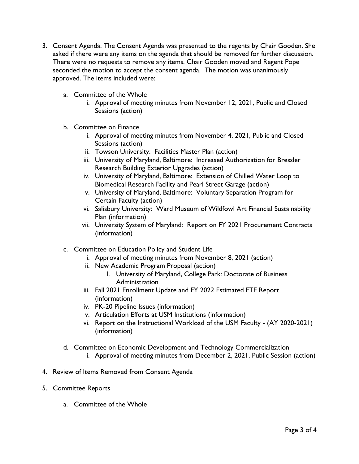- 3. Consent Agenda. The Consent Agenda was presented to the regents by Chair Gooden. She asked if there were any items on the agenda that should be removed for further discussion. There were no requests to remove any items. Chair Gooden moved and Regent Pope seconded the motion to accept the consent agenda. The motion was unanimously approved. The items included were:
	- a. Committee of the Whole
		- i. Approval of meeting minutes from November 12, 2021, Public and Closed Sessions (action)
	- b. Committee on Finance
		- i. Approval of meeting minutes from November 4, 2021, Public and Closed Sessions (action)
		- ii. Towson University: Facilities Master Plan (action)
		- iii. University of Maryland, Baltimore: Increased Authorization for Bressler Research Building Exterior Upgrades (action)
		- iv. University of Maryland, Baltimore: Extension of Chilled Water Loop to Biomedical Research Facility and Pearl Street Garage (action)
		- v. University of Maryland, Baltimore: Voluntary Separation Program for Certain Faculty (action)
		- vi. Salisbury University: Ward Museum of Wildfowl Art Financial Sustainability Plan (information)
		- vii. University System of Maryland: Report on FY 2021 Procurement Contracts (information)
	- c. Committee on Education Policy and Student Life
		- i. Approval of meeting minutes from November 8, 2021 (action)
		- ii. New Academic Program Proposal (action)
			- 1. University of Maryland, College Park: Doctorate of Business Administration
		- iii. Fall 2021 Enrollment Update and FY 2022 Estimated FTE Report (information)
		- iv. PK-20 Pipeline Issues (information)
		- v. Articulation Efforts at USM Institutions (information)
		- vi. Report on the Instructional Workload of the USM Faculty (AY 2020-2021) (information)
	- d. Committee on Economic Development and Technology Commercialization
		- i. Approval of meeting minutes from December 2, 2021, Public Session (action)
- 4. Review of Items Removed from Consent Agenda
- 5. Committee Reports
	- a. Committee of the Whole